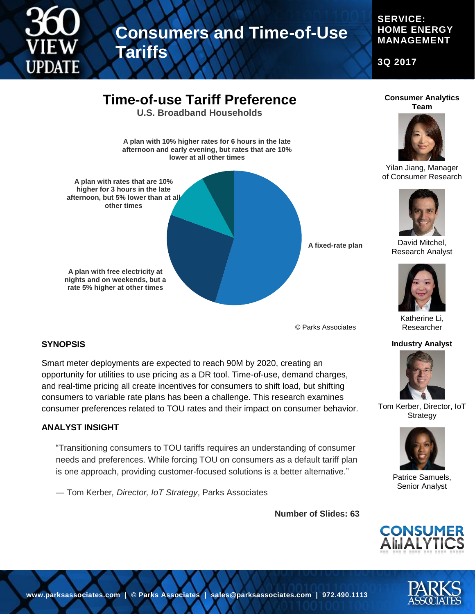

## **Consumers and Time-of-Use**

#### **SERVICE: HOME ENERGY MANAGEMENT**

**3Q 2017**



**Tariffs**

**Consumer Analytics Team**



Yilan Jiang, Manager of Consumer Research



David Mitchel, Research Analyst



Katherine Li, Researcher

#### **Industry Analyst**



Tom Kerber, Director, IoT **Strategy** 



Patrice Samuels, Senior Analyst





© Parks Associates

## **SYNOPSIS**

Smart meter deployments are expected to reach 90M by 2020, creating an opportunity for utilities to use pricing as a DR tool. Time-of-use, demand charges, and real-time pricing all create incentives for consumers to shift load, but shifting consumers to variable rate plans has been a challenge. This research examines consumer preferences related to TOU rates and their impact on consumer behavior.

#### **ANALYST INSIGHT**

"Transitioning consumers to TOU tariffs requires an understanding of consumer needs and preferences. While forcing TOU on consumers as a default tariff plan is one approach, providing customer-focused solutions is a better alternative."

― Tom Kerber*, Director, IoT Strategy*, Parks Associates

**Number of Slides: 63**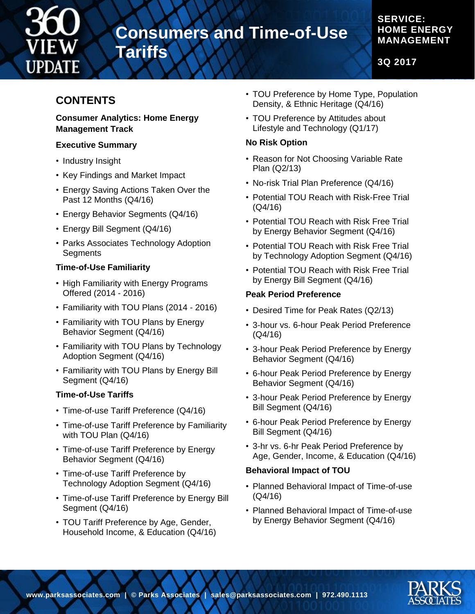

## **Consumers and Time-of-Use**

## **SERVICE: HOME ENERGY MANAGEMENT**

**3Q 2017**

## **CONTENTS**

#### **Consumer Analytics: Home Energy Management Track**

**Tariffs**

#### **Executive Summary**

- Industry Insight
- Key Findings and Market Impact
- Energy Saving Actions Taken Over the Past 12 Months (Q4/16)
- Energy Behavior Segments (Q4/16)
- Energy Bill Segment (Q4/16)
- Parks Associates Technology Adoption **Segments**

## **Time-of-Use Familiarity**

- High Familiarity with Energy Programs Offered (2014 - 2016)
- Familiarity with TOU Plans (2014 2016)
- Familiarity with TOU Plans by Energy Behavior Segment (Q4/16)
- Familiarity with TOU Plans by Technology Adoption Segment (Q4/16)
- Familiarity with TOU Plans by Energy Bill Segment (Q4/16)

## **Time-of-Use Tariffs**

- Time-of-use Tariff Preference (Q4/16)
- Time-of-use Tariff Preference by Familiarity with TOU Plan (Q4/16)
- Time-of-use Tariff Preference by Energy Behavior Segment (Q4/16)
- Time-of-use Tariff Preference by Technology Adoption Segment (Q4/16)
- Time-of-use Tariff Preference by Energy Bill Segment (Q4/16)
- TOU Tariff Preference by Age, Gender, Household Income, & Education (Q4/16)
- TOU Preference by Home Type, Population Density, & Ethnic Heritage (Q4/16)
- TOU Preference by Attitudes about Lifestyle and Technology (Q1/17)

## **No Risk Option**

- Reason for Not Choosing Variable Rate Plan (Q2/13)
- No-risk Trial Plan Preference (Q4/16)
- Potential TOU Reach with Risk-Free Trial (Q4/16)
- Potential TOU Reach with Risk Free Trial by Energy Behavior Segment (Q4/16)
- Potential TOU Reach with Risk Free Trial by Technology Adoption Segment (Q4/16)
- Potential TOU Reach with Risk Free Trial by Energy Bill Segment (Q4/16)

## **Peak Period Preference**

- Desired Time for Peak Rates (Q2/13)
- 3-hour vs. 6-hour Peak Period Preference (Q4/16)
- 3-hour Peak Period Preference by Energy Behavior Segment (Q4/16)
- 6-hour Peak Period Preference by Energy Behavior Segment (Q4/16)
- 3-hour Peak Period Preference by Energy Bill Segment (Q4/16)
- 6-hour Peak Period Preference by Energy Bill Segment (Q4/16)
- 3-hr vs. 6-hr Peak Period Preference by Age, Gender, Income, & Education (Q4/16)

## **Behavioral Impact of TOU**

- Planned Behavioral Impact of Time-of-use (Q4/16)
- Planned Behavioral Impact of Time-of-use by Energy Behavior Segment (Q4/16)

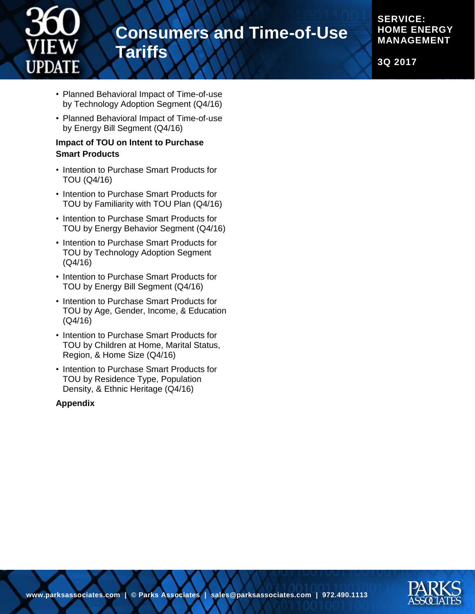

## **Consumers and Time-of-Use Tariffs**

**SERVICE: HOME ENERGY MANAGEMENT**

**3Q 2017**

- Planned Behavioral Impact of Time-of-use by Technology Adoption Segment (Q4/16)
- Planned Behavioral Impact of Time-of-use by Energy Bill Segment (Q4/16)

#### **Impact of TOU on Intent to Purchase Smart Products**

- Intention to Purchase Smart Products for TOU (Q4/16)
- Intention to Purchase Smart Products for TOU by Familiarity with TOU Plan (Q4/16)
- Intention to Purchase Smart Products for TOU by Energy Behavior Segment (Q4/16)
- Intention to Purchase Smart Products for TOU by Technology Adoption Segment (Q4/16)
- Intention to Purchase Smart Products for TOU by Energy Bill Segment (Q4/16)
- Intention to Purchase Smart Products for TOU by Age, Gender, Income, & Education (Q4/16)
- Intention to Purchase Smart Products for TOU by Children at Home, Marital Status, Region, & Home Size (Q4/16)
- Intention to Purchase Smart Products for TOU by Residence Type, Population Density, & Ethnic Heritage (Q4/16)

#### **Appendix**